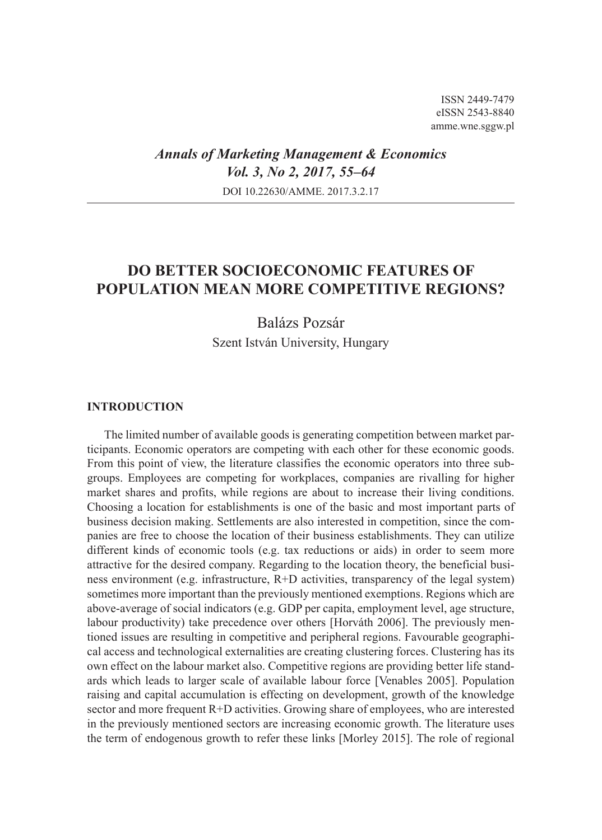ISSN 2449-7479 eISSN 2543-8840 amme.wne.sggw.pl

## *Annals of Marketing Management & Economics Vol. 3, No 2, 2017, 55–64* DOI 10.22630/AMME. 2017.3.2.17

# **DO BETTER SOCIOECONOMIC FEATURES OF POPULATION MEAN MORE COMPETITIVE REGIONS?**

Balázs Pozsár Szent István University, Hungary

### **INTRODUCTION**

The limited number of available goods is generating competition between market participants. Economic operators are competing with each other for these economic goods. From this point of view, the literature classifies the economic operators into three subgroups. Employees are competing for workplaces, companies are rivalling for higher market shares and profits, while regions are about to increase their living conditions. Choosing a location for establishments is one of the basic and most important parts of business decision making. Settlements are also interested in competition, since the companies are free to choose the location of their business establishments. They can utilize different kinds of economic tools (e.g. tax reductions or aids) in order to seem more attractive for the desired company. Regarding to the location theory, the beneficial business environment (e.g. infrastructure, R+D activities, transparency of the legal system) sometimes more important than the previously mentioned exemptions. Regions which are above-average of social indicators (e.g. GDP per capita, employment level, age structure, labour productivity) take precedence over others [Horváth 2006]. The previously mentioned issues are resulting in competitive and peripheral regions. Favourable geographical access and technological externalities are creating clustering forces. Clustering has its own effect on the labour market also. Competitive regions are providing better life standards which leads to larger scale of available labour force [Venables 2005]. Population raising and capital accumulation is effecting on development, growth of the knowledge sector and more frequent R+D activities. Growing share of employees, who are interested in the previously mentioned sectors are increasing economic growth. The literature uses the term of endogenous growth to refer these links [Morley 2015]. The role of regional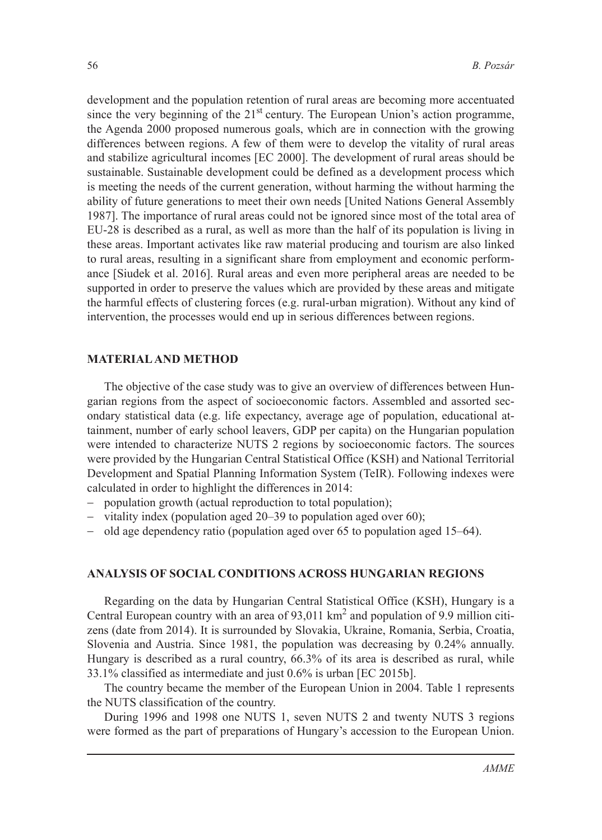development and the population retention of rural areas are becoming more accentuated since the very beginning of the  $21<sup>st</sup>$  century. The European Union's action programme, the Agenda 2000 proposed numerous goals, which are in connection with the growing differences between regions. A few of them were to develop the vitality of rural areas and stabilize agricultural incomes [EC 2000]. The development of rural areas should be sustainable. Sustainable development could be defined as a development process which is meeting the needs of the current generation, without harming the without harming the ability of future generations to meet their own needs [United Nations General Assembly 1987]. The importance of rural areas could not be ignored since most of the total area of EU-28 is described as a rural, as well as more than the half of its population is living in these areas. Important activates like raw material producing and tourism are also linked to rural areas, resulting in a significant share from employment and economic performance [Siudek et al. 2016]. Rural areas and even more peripheral areas are needed to be supported in order to preserve the values which are provided by these areas and mitigate the harmful effects of clustering forces (e.g. rural-urban migration). Without any kind of intervention, the processes would end up in serious differences between regions.

### **MATERIAL AND METHOD**

The objective of the case study was to give an overview of differences between Hungarian regions from the aspect of socioeconomic factors. Assembled and assorted secondary statistical data (e.g. life expectancy, average age of population, educational attainment, number of early school leavers, GDP per capita) on the Hungarian population were intended to characterize NUTS 2 regions by socioeconomic factors. The sources were provided by the Hungarian Central Statistical Office (KSH) and National Territorial Development and Spatial Planning Information System (TeIR). Following indexes were calculated in order to highlight the differences in 2014:

- population growth (actual reproduction to total population);
- − vitality index (population aged 20–39 to population aged over 60);
- − old age dependency ratio (population aged over 65 to population aged 15–64).

### **ANALYSIS OF SOCIAL CONDITIONS ACROSS HUNGARIAN REGIONS**

Regarding on the data by Hungarian Central Statistical Office (KSH), Hungary is a Central European country with an area of  $93,011$  km<sup>2</sup> and population of 9.9 million citizens (date from 2014). It is surrounded by Slovakia, Ukraine, Romania, Serbia, Croatia, Slovenia and Austria. Since 1981, the population was decreasing by 0.24% annually. Hungary is described as a rural country, 66.3% of its area is described as rural, while 33.1% classified as intermediate and just 0.6% is urban [EC 2015b].

The country became the member of the European Union in 2004. Table 1 represents the NUTS classification of the country.

During 1996 and 1998 one NUTS 1, seven NUTS 2 and twenty NUTS 3 regions were formed as the part of preparations of Hungary's accession to the European Union.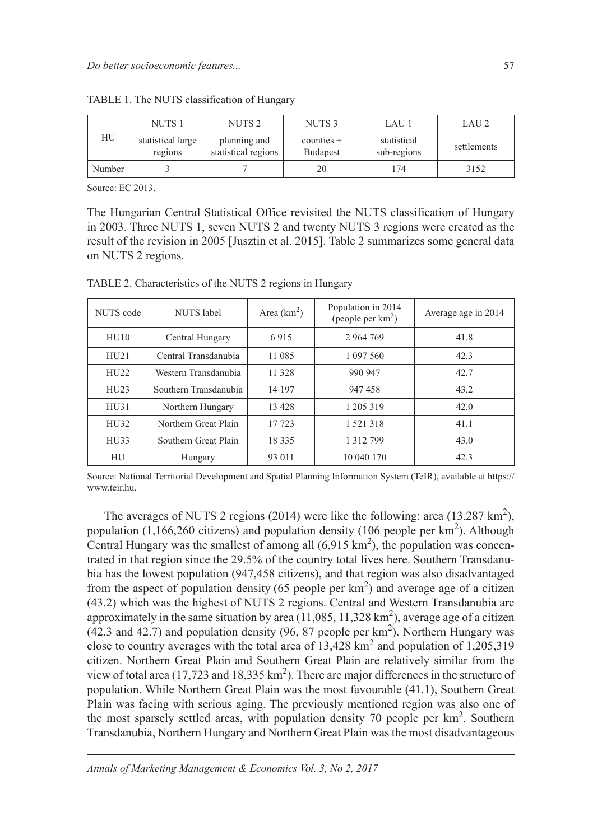| НU     | NUTS <sub>1</sub>            | NUTS <sub>2</sub>                   | NUTS <sub>3</sub>        | LAU 1                      | LAU <sub>2</sub> |
|--------|------------------------------|-------------------------------------|--------------------------|----------------------------|------------------|
|        | statistical large<br>regions | planning and<br>statistical regions | $counties +$<br>Budapest | statistical<br>sub-regions | settlements      |
| Number |                              |                                     | 20                       | 174                        | 3152             |

TABLE 1. The NUTS classification of Hungary

Source: EC 2013.

The Hungarian Central Statistical Office revisited the NUTS classification of Hungary in 2003. Three NUTS 1, seven NUTS 2 and twenty NUTS 3 regions were created as the result of the revision in 2005 [Jusztin et al. 2015]. Table 2 summarizes some general data on NUTS 2 regions.

NUTS code NUTS label Area (km<sup>2</sup>) ) Population in 2014 (people per  $km<sup>2</sup>$ ) ) Average age in 2014 HU10 Central Hungary 6 915 2 964 769 41.8 HU21 Central Transdanubia 11 085 1 097 560 42.3 HU22 Western Transdanubia 11 328 990 947 42.7 HU23 Southern Transdanubia 14 197 947 458 43.2 HU31 Northern Hungary 13 428 1 205 319 42.0 HU32 | Northern Great Plain | 17 723 | 1 521 318 | 41.1 HU33 Southern Great Plain 18 335 1 1312 799 43.0 HU Hungary 93 011 10 040 170 42.3

TABLE 2. Characteristics of the NUTS 2 regions in Hungary

Source: National Territorial Development and Spatial Planning Information System (TeIR), available at https:// www.teir.hu.

The averages of NUTS 2 regions (2014) were like the following: area (13,287 km<sup>2</sup>), population  $(1,166,260$  citizens) and population density  $(106$  people per km<sup>2</sup>). Although Central Hungary was the smallest of among all  $(6,915 \text{ km}^2)$ , the population was concentrated in that region since the 29.5% of the country total lives here. Southern Transdanubia has the lowest population (947,458 citizens), and that region was also disadvantaged from the aspect of population density (65 people per  $km<sup>2</sup>$ ) and average age of a citizen (43.2) which was the highest of NUTS 2 regions. Central and Western Transdanubia are approximately in the same situation by area  $(11,085, 11,328 \text{ km}^2)$ , average age of a citizen  $(42.3 \text{ and } 42.7)$  and population density  $(96, 87 \text{ people per km}^2)$ . Northern Hungary was close to country averages with the total area of  $13,428 \text{ km}^2$  and population of  $1,205,319$ citizen. Northern Great Plain and Southern Great Plain are relatively similar from the view of total area (17,723 and 18,335  $km<sup>2</sup>$ ). There are major differences in the structure of population. While Northern Great Plain was the most favourable (41.1), Southern Great Plain was facing with serious aging. The previously mentioned region was also one of the most sparsely settled areas, with population density 70 people per km<sup>2</sup>. Southern Transdanubia, Northern Hungary and Northern Great Plain was the most disadvantageous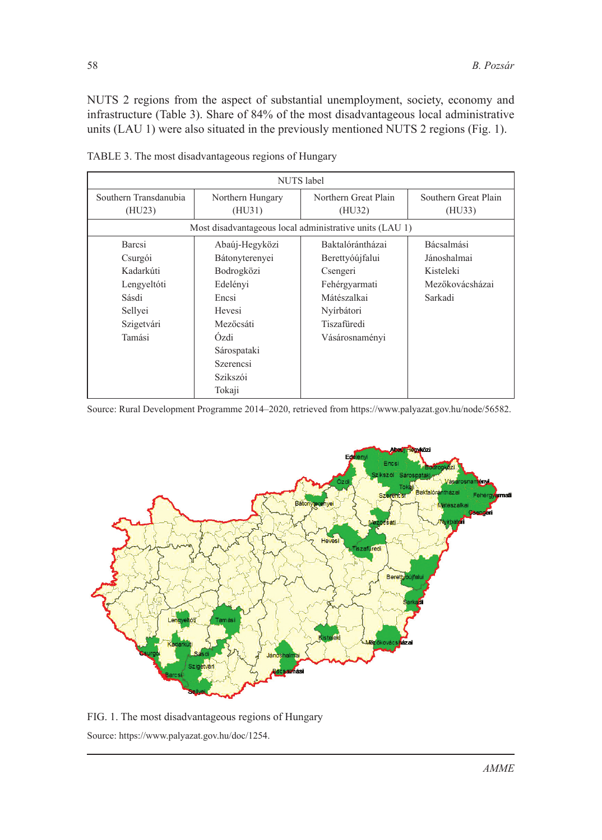NUTS 2 regions from the aspect of substantial unemployment, society, economy and infrastructure (Table 3). Share of 84% of the most disadvantageous local administrative units (LAU 1) were also situated in the previously mentioned NUTS 2 regions (Fig. 1).

| NUTS label                                              |                  |                      |                      |  |  |  |  |  |  |
|---------------------------------------------------------|------------------|----------------------|----------------------|--|--|--|--|--|--|
| Southern Transdanubia                                   | Northern Hungary | Northern Great Plain | Southern Great Plain |  |  |  |  |  |  |
| (HU23)<br>(HU31)                                        |                  | (HU32)               | (HU33)               |  |  |  |  |  |  |
| Most disadvantageous local administrative units (LAU 1) |                  |                      |                      |  |  |  |  |  |  |
| Barcsi                                                  | Abaúj-Hegyközi   | Baktalórántházai     | Bácsalmási           |  |  |  |  |  |  |
| Bátonyterenyei<br>Csurgói                               |                  | Berettyóújfalui      | Jánoshalmai          |  |  |  |  |  |  |
| Kadarkúti                                               | Bodrogközi       | Csengeri             | Kisteleki            |  |  |  |  |  |  |
| Lengyeltóti                                             | Edelényi         | Fehérgyarmati        | Mezőkovácsházai      |  |  |  |  |  |  |
| Sásdi                                                   | Encsi            | Mátészalkai          | Sarkadi              |  |  |  |  |  |  |
| Sellyei                                                 | Hevesi           | Nyírbátori           |                      |  |  |  |  |  |  |
| Szigetvári                                              | Mezőcsáti        | Tiszafüredi          |                      |  |  |  |  |  |  |
| Tamási                                                  | <b>Ozdi</b>      | Vásárosnaményi       |                      |  |  |  |  |  |  |
|                                                         | Sárospataki      |                      |                      |  |  |  |  |  |  |
|                                                         | <b>Szerencsi</b> |                      |                      |  |  |  |  |  |  |
|                                                         | Szikszói         |                      |                      |  |  |  |  |  |  |
|                                                         | Tokaji           |                      |                      |  |  |  |  |  |  |

TABLE 3. The most disadvantageous regions of Hungary

Source: Rural Development Programme 2014–2020, retrieved from https://www.palyazat.gov.hu/node/56582.



FIG. 1. The most disadvantageous regions of Hungary Source: https://www.palyazat.gov.hu/doc/1254.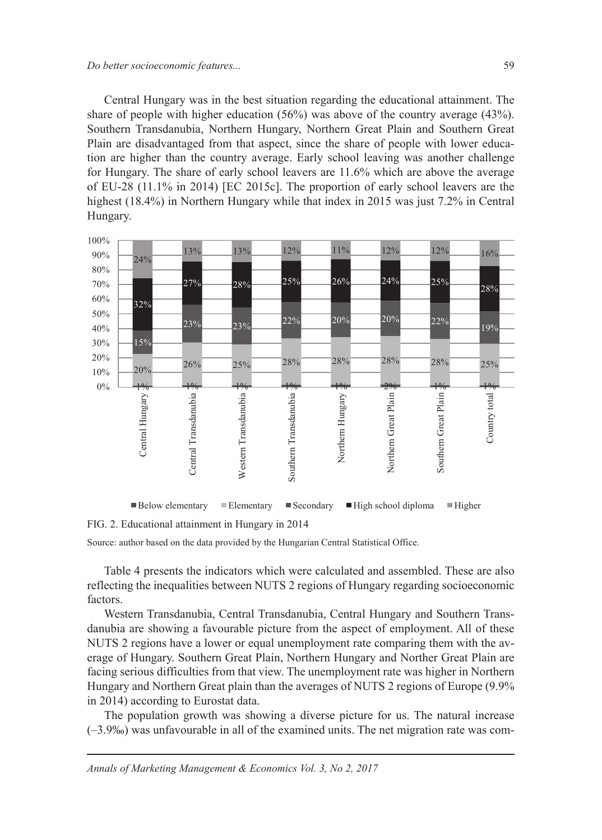Central Hungary was in the best situation regarding the educational attainment. The share of people with higher education (56%) was above of the country average (43%). Southern Transdanubia, Northern Hungary, Northern Great Plain and Southern Great Plain are disadvantaged from that aspect, since the share of people with lower education are higher than the country average. Early school leaving was another challenge for Hungary. The share of early school leavers are 11.6% which are above the average of EU-28 (11.1% in 2014) [EC 2015c]. The proportion of early school leavers are the highest (18.4%) in Northern Hungary while that index in 2015 was just 7.2% in Central Hungary.



FIG. 2. Educational attainment in Hungary in 2014

Source: author based on the data provided by the Hungarian Central Statistical Office.

Table 4 presents the indicators which were calculated and assembled. These are also reflecting the inequalities between NUTS 2 regions of Hungary regarding socioeconomic factors.

Western Transdanubia, Central Transdanubia, Central Hungary and Southern Transdanubia are showing a favourable picture from the aspect of employment. All of these NUTS 2 regions have a lower or equal unemployment rate comparing them with the average of Hungary. Southern Great Plain, Northern Hungary and Norther Great Plain are facing serious difficulties from that view. The unemployment rate was higher in Northern Hungary and Northern Great plain than the averages of NUTS 2 regions of Europe (9.9% in 2014) according to Eurostat data.

The population growth was showing a diverse picture for us. The natural increase (–3.9‰) was unfavourable in all of the examined units. The net migration rate was com-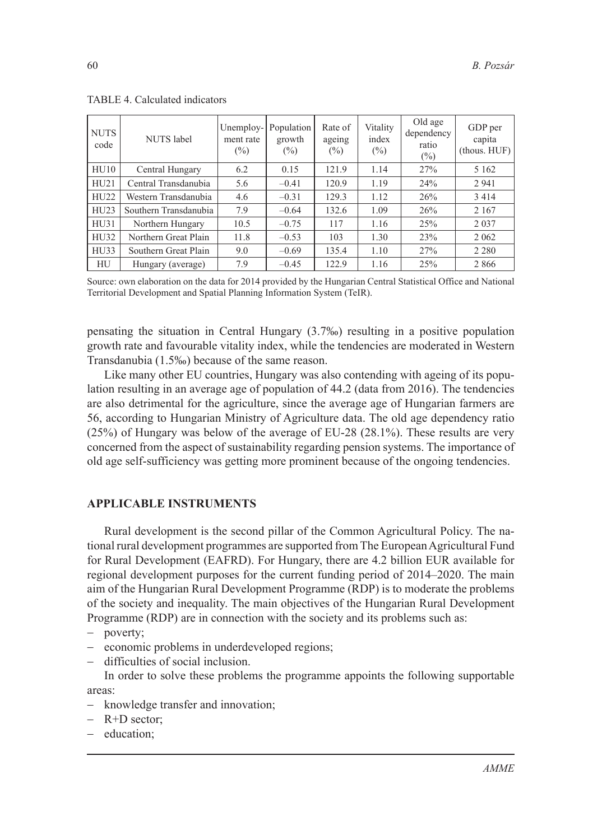| <b>NUTS</b><br>code | <b>NUTS</b> label     | Unemploy-<br>ment rate<br>$(\%)$ | Population<br>growth<br>$(\%)$ | Rate of<br>ageing<br>$(\%)$ | Vitality<br>index<br>$(\% )$ | Old age<br>dependency<br>ratio<br>$(\%)$ | GDP per<br>capita<br>$-thous. HUF)$ |
|---------------------|-----------------------|----------------------------------|--------------------------------|-----------------------------|------------------------------|------------------------------------------|-------------------------------------|
| H <sub>U10</sub>    | Central Hungary       | 6.2                              | 0.15                           | 121.9                       | 1.14                         | 27%                                      | 5 1 6 2                             |
| HU21                | Central Transdanubia  | 5.6                              | $-0.41$                        | 120.9                       | 1.19                         | 24%                                      | 2941                                |
| HU22                | Western Transdanubia  | 4.6                              | $-0.31$                        | 129.3                       | 1.12                         | 26%                                      | 3 4 1 4                             |
| HU23                | Southern Transdanubia | 7.9                              | $-0.64$                        | 132.6                       | 1.09                         | 26%                                      | 2 1 6 7                             |
| HU31                | Northern Hungary      | 10.5                             | $-0.75$                        | 117                         | 1.16                         | 25%                                      | 2037                                |
| HU32                | Northern Great Plain  | 11.8                             | $-0.53$                        | 103                         | 1.30                         | 23%                                      | 2 0 6 2                             |
| H <sub>U33</sub>    | Southern Great Plain  | 9.0                              | $-0.69$                        | 135.4                       | 1.10                         | 27%                                      | 2 2 8 0                             |
| HU                  | Hungary (average)     | 7.9                              | $-0.45$                        | 122.9                       | 1.16                         | 25%                                      | 2866                                |

TABLE 4. Calculated indicators

Source: own elaboration on the data for 2014 provided by the Hungarian Central Statistical Office and National Territorial Development and Spatial Planning Information System (TeIR).

pensating the situation in Central Hungary (3.7‰) resulting in a positive population growth rate and favourable vitality index, while the tendencies are moderated in Western Transdanubia (1.5‰) because of the same reason.

Like many other EU countries, Hungary was also contending with ageing of its population resulting in an average age of population of 44.2 (data from 2016). The tendencies are also detrimental for the agriculture, since the average age of Hungarian farmers are 56, according to Hungarian Ministry of Agriculture data. The old age dependency ratio (25%) of Hungary was below of the average of EU-28 (28.1%). These results are very concerned from the aspect of sustainability regarding pension systems. The importance of old age self-sufficiency was getting more prominent because of the ongoing tendencies.

### **APPLICABLE INSTRUMENTS**

Rural development is the second pillar of the Common Agricultural Policy. The national rural development programmes are supported from The European Agricultural Fund for Rural Development (EAFRD). For Hungary, there are 4.2 billion EUR available for regional development purposes for the current funding period of 2014–2020. The main aim of the Hungarian Rural Development Programme (RDP) is to moderate the problems of the society and inequality. The main objectives of the Hungarian Rural Development Programme (RDP) are in connection with the society and its problems such as:

- − poverty;
- − economic problems in underdeveloped regions;
- − difficulties of social inclusion.

In order to solve these problems the programme appoints the following supportable areas:

- − knowledge transfer and innovation;
- − R+D sector;
- − education;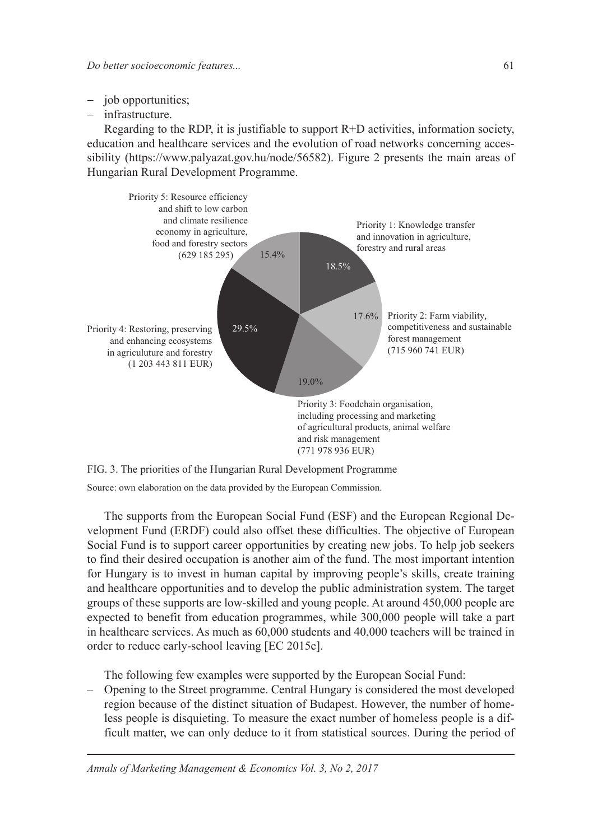- − job opportunities;
- − infrastructure.

Regarding to the RDP, it is justifiable to support  $R+D$  activities, information society, education and healthcare services and the evolution of road networks concerning accessibility (https://www.palyazat.gov.hu/node/56582). Figure 2 presents the main areas of Hungarian Rural Development Programme.



FIG. 3. The priorities of the Hungarian Rural Development Programme

Source: own elaboration on the data provided by the European Commission.

The supports from the European Social Fund (ESF) and the European Regional Development Fund (ERDF) could also offset these difficulties. The objective of European Social Fund is to support career opportunities by creating new jobs. To help job seekers to find their desired occupation is another aim of the fund. The most important intention for Hungary is to invest in human capital by improving people's skills, create training and healthcare opportunities and to develop the public administration system. The target groups of these supports are low-skilled and young people. At around 450,000 people are expected to benefit from education programmes, while 300,000 people will take a part in healthcare services. As much as 60,000 students and 40,000 teachers will be trained in order to reduce early-school leaving [EC 2015c].

The following few examples were supported by the European Social Fund:

– Opening to the Street programme. Central Hungary is considered the most developed region because of the distinct situation of Budapest. However, the number of homeless people is disquieting. To measure the exact number of homeless people is a difficult matter, we can only deduce to it from statistical sources. During the period of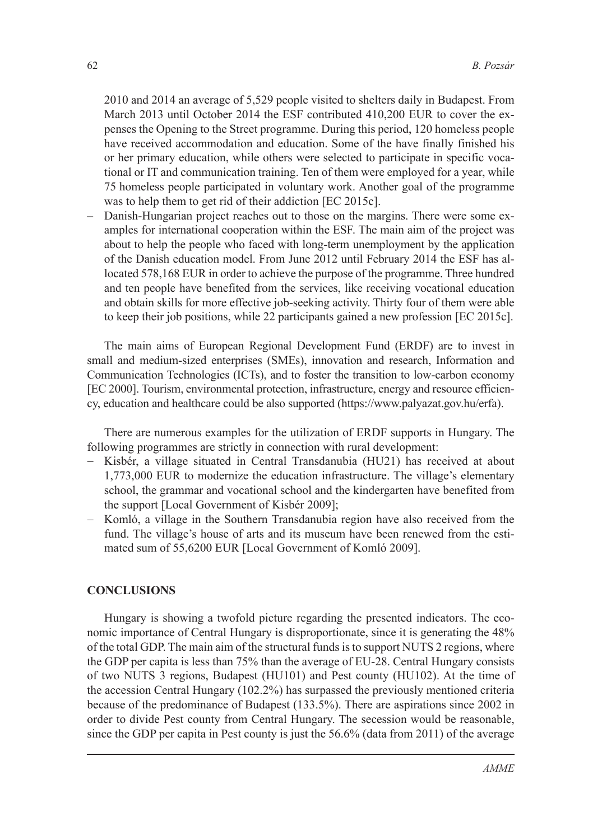2010 and 2014 an average of 5,529 people visited to shelters daily in Budapest. From March 2013 until October 2014 the ESF contributed 410,200 EUR to cover the expenses the Opening to the Street programme. During this period, 120 homeless people have received accommodation and education. Some of the have finally finished his or her primary education, while others were selected to participate in specific vocational or IT and communication training. Ten of them were employed for a year, while 75 homeless people participated in voluntary work. Another goal of the programme was to help them to get rid of their addiction [EC 2015c].

– Danish-Hungarian project reaches out to those on the margins. There were some examples for international cooperation within the ESF. The main aim of the project was about to help the people who faced with long-term unemployment by the application of the Danish education model. From June 2012 until February 2014 the ESF has allocated 578,168 EUR in order to achieve the purpose of the programme. Three hundred and ten people have benefited from the services, like receiving vocational education and obtain skills for more effective job-seeking activity. Thirty four of them were able to keep their job positions, while 22 participants gained a new profession [EC 2015c].

The main aims of European Regional Development Fund (ERDF) are to invest in small and medium-sized enterprises (SMEs), innovation and research, Information and Communication Technologies (ICTs), and to foster the transition to low-carbon economy [EC 2000]. Tourism, environmental protection, infrastructure, energy and resource efficiency, education and healthcare could be also supported (https://www.palyazat.gov.hu/erfa).

There are numerous examples for the utilization of ERDF supports in Hungary. The following programmes are strictly in connection with rural development:

- − Kisbér, a village situated in Central Transdanubia (HU21) has received at about 1,773,000 EUR to modernize the education infrastructure. The village's elementary school, the grammar and vocational school and the kindergarten have benefited from the support [Local Government of Kisbér 2009];
- − Komló, a village in the Southern Transdanubia region have also received from the fund. The village's house of arts and its museum have been renewed from the estimated sum of 55,6200 EUR [Local Government of Komló 2009].

#### **CONCLUSIONS**

Hungary is showing a twofold picture regarding the presented indicators. The economic importance of Central Hungary is disproportionate, since it is generating the 48% of the total GDP. The main aim of the structural funds is to support NUTS 2 regions, where the GDP per capita is less than 75% than the average of EU-28. Central Hungary consists of two NUTS 3 regions, Budapest (HU101) and Pest county (HU102). At the time of the accession Central Hungary (102.2%) has surpassed the previously mentioned criteria because of the predominance of Budapest (133.5%). There are aspirations since 2002 in order to divide Pest county from Central Hungary. The secession would be reasonable, since the GDP per capita in Pest county is just the 56.6% (data from 2011) of the average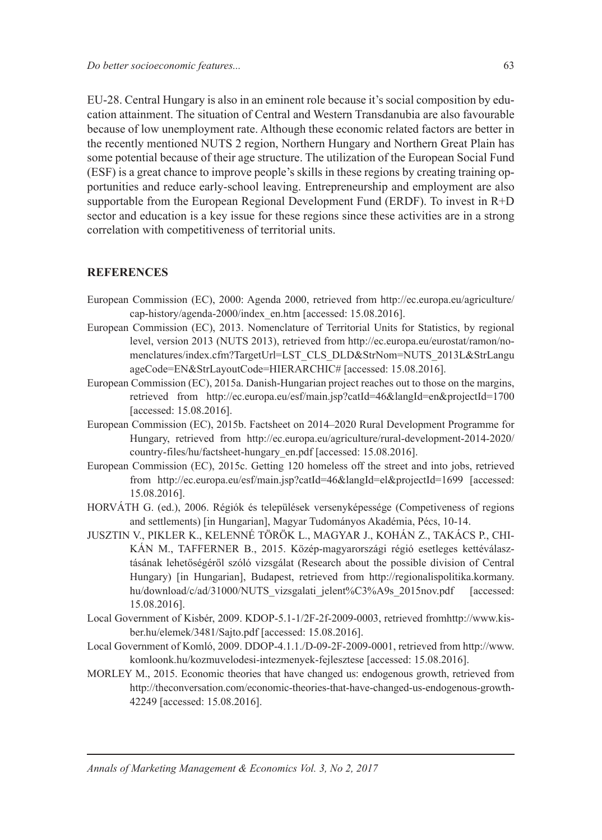EU-28. Central Hungary is also in an eminent role because it's social composition by education attainment. The situation of Central and Western Transdanubia are also favourable because of low unemployment rate. Although these economic related factors are better in the recently mentioned NUTS 2 region, Northern Hungary and Northern Great Plain has some potential because of their age structure. The utilization of the European Social Fund (ESF) is a great chance to improve people's skills in these regions by creating training opportunities and reduce early-school leaving. Entrepreneurship and employment are also supportable from the European Regional Development Fund (ERDF). To invest in R+D sector and education is a key issue for these regions since these activities are in a strong correlation with competitiveness of territorial units.

#### **REFERENCES**

- European Commission (EC), 2000: Agenda 2000, retrieved from http://ec.europa.eu/agriculture/ cap-history/agenda-2000/index\_en.htm [accessed: 15.08.2016].
- European Commission (EC), 2013. Nomenclature of Territorial Units for Statistics, by regional level, version 2013 (NUTS 2013), retrieved from http://ec.europa.eu/eurostat/ramon/nomenclatures/index.cfm?TargetUrl=LST\_CLS\_DLD&StrNom=NUTS\_2013L&StrLangu ageCode=EN&StrLayoutCode=HIERARCHIC# [accessed: 15.08.2016].
- European Commission (EC), 2015a. Danish-Hungarian project reaches out to those on the margins, retrieved from http://ec.europa.eu/esf/main.jsp?catId=46&langId=en&projectId=1700 [accessed: 15.08.2016].
- European Commission (EC), 2015b. Factsheet on 2014–2020 Rural Development Programme for Hungary, retrieved from http://ec.europa.eu/agriculture/rural-development-2014-2020/ country-files/hu/factsheet-hungary\_en.pdf [accessed: 15.08.2016].
- European Commission (EC), 2015c. Getting 120 homeless off the street and into jobs, retrieved from http://ec.europa.eu/esf/main.jsp?catId=46&langId=el&projectId=1699 [accessed: 15.08.2016].
- HORVÁTH G. (ed.), 2006. Régiók és települések versenyképessége (Competiveness of regions and settlements) [in Hungarian], Magyar Tudományos Akadémia, Pécs, 10-14.
- JUSZTIN V., PIKLER K., KELENNÉ TÖRÖK L., MAGYAR J., KOHÁN Z., TAKÁCS P., CHI-KÁN M., TAFFERNER B., 2015. Közép-magyarországi régió esetleges kettéválasztásának lehetőségéről szóló vizsgálat (Research about the possible division of Central Hungary) [in Hungarian], Budapest, retrieved from http://regionalispolitika.kormany. hu/download/c/ad/31000/NUTS\_vizsgalati\_jelent%C3%A9s\_2015nov.pdf [accessed: 15.08.2016].
- Local Government of Kisbér, 2009. KDOP-5.1-1/2F-2f-2009-0003, retrieved fromhttp://www.kisber.hu/elemek/3481/Sajto.pdf [accessed: 15.08.2016].
- Local Government of Komló, 2009. DDOP-4.1.1./D-09-2F-2009-0001, retrieved from http://www. komloonk.hu/kozmuvelodesi-intezmenyek-fejlesztese [accessed: 15.08.2016].
- MORLEY M., 2015. Economic theories that have changed us: endogenous growth, retrieved from http://theconversation.com/economic-theories-that-have-changed-us-endogenous-growth-42249 [accessed: 15.08.2016].